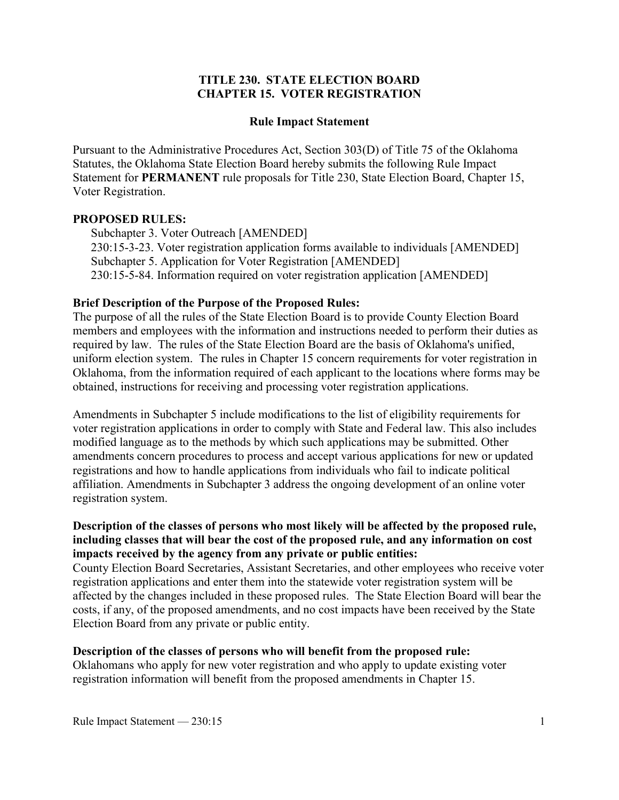# **TITLE 230. STATE ELECTION BOARD CHAPTER 15. VOTER REGISTRATION**

#### **Rule Impact Statement**

Pursuant to the Administrative Procedures Act, Section 303(D) of Title 75 of the Oklahoma Statutes, the Oklahoma State Election Board hereby submits the following Rule Impact Statement for **PERMANENT** rule proposals for Title 230, State Election Board, Chapter 15, Voter Registration.

# **PROPOSED RULES:**

Subchapter 3. Voter Outreach [AMENDED] 230:15-3-23. Voter registration application forms available to individuals [AMENDED] Subchapter 5. Application for Voter Registration [AMENDED] 230:15-5-84. Information required on voter registration application [AMENDED]

# **Brief Description of the Purpose of the Proposed Rules:**

The purpose of all the rules of the State Election Board is to provide County Election Board members and employees with the information and instructions needed to perform their duties as required by law. The rules of the State Election Board are the basis of Oklahoma's unified, uniform election system. The rules in Chapter 15 concern requirements for voter registration in Oklahoma, from the information required of each applicant to the locations where forms may be obtained, instructions for receiving and processing voter registration applications.

Amendments in Subchapter 5 include modifications to the list of eligibility requirements for voter registration applications in order to comply with State and Federal law. This also includes modified language as to the methods by which such applications may be submitted. Other amendments concern procedures to process and accept various applications for new or updated registrations and how to handle applications from individuals who fail to indicate political affiliation. Amendments in Subchapter 3 address the ongoing development of an online voter registration system.

### **Description of the classes of persons who most likely will be affected by the proposed rule, including classes that will bear the cost of the proposed rule, and any information on cost impacts received by the agency from any private or public entities:**

County Election Board Secretaries, Assistant Secretaries, and other employees who receive voter registration applications and enter them into the statewide voter registration system will be affected by the changes included in these proposed rules. The State Election Board will bear the costs, if any, of the proposed amendments, and no cost impacts have been received by the State Election Board from any private or public entity.

#### **Description of the classes of persons who will benefit from the proposed rule:**

Oklahomans who apply for new voter registration and who apply to update existing voter registration information will benefit from the proposed amendments in Chapter 15.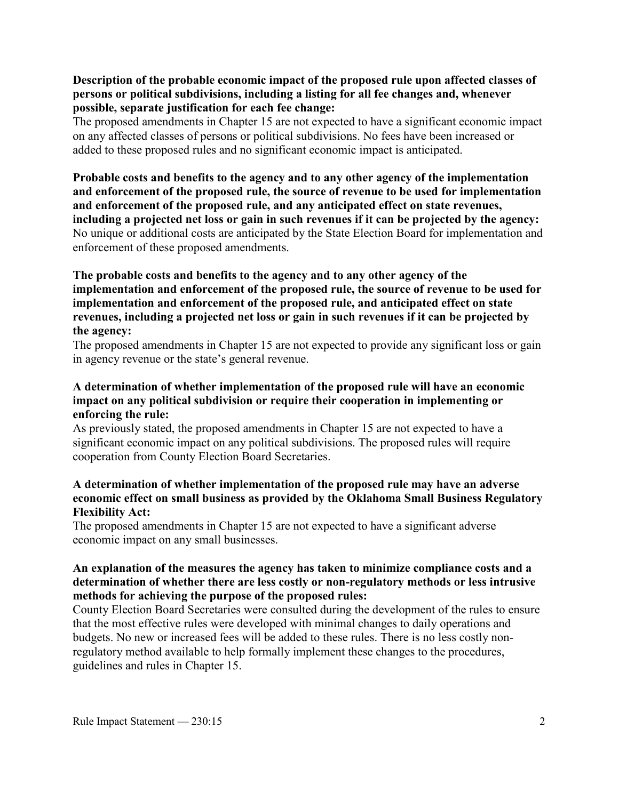# **Description of the probable economic impact of the proposed rule upon affected classes of persons or political subdivisions, including a listing for all fee changes and, whenever possible, separate justification for each fee change:**

The proposed amendments in Chapter 15 are not expected to have a significant economic impact on any affected classes of persons or political subdivisions. No fees have been increased or added to these proposed rules and no significant economic impact is anticipated.

**Probable costs and benefits to the agency and to any other agency of the implementation and enforcement of the proposed rule, the source of revenue to be used for implementation and enforcement of the proposed rule, and any anticipated effect on state revenues, including a projected net loss or gain in such revenues if it can be projected by the agency:** No unique or additional costs are anticipated by the State Election Board for implementation and enforcement of these proposed amendments.

# **The probable costs and benefits to the agency and to any other agency of the implementation and enforcement of the proposed rule, the source of revenue to be used for implementation and enforcement of the proposed rule, and anticipated effect on state revenues, including a projected net loss or gain in such revenues if it can be projected by the agency:**

The proposed amendments in Chapter 15 are not expected to provide any significant loss or gain in agency revenue or the state's general revenue.

# **A determination of whether implementation of the proposed rule will have an economic impact on any political subdivision or require their cooperation in implementing or enforcing the rule:**

As previously stated, the proposed amendments in Chapter 15 are not expected to have a significant economic impact on any political subdivisions. The proposed rules will require cooperation from County Election Board Secretaries.

# **A determination of whether implementation of the proposed rule may have an adverse economic effect on small business as provided by the Oklahoma Small Business Regulatory Flexibility Act:**

The proposed amendments in Chapter 15 are not expected to have a significant adverse economic impact on any small businesses.

# **An explanation of the measures the agency has taken to minimize compliance costs and a determination of whether there are less costly or non-regulatory methods or less intrusive methods for achieving the purpose of the proposed rules:**

County Election Board Secretaries were consulted during the development of the rules to ensure that the most effective rules were developed with minimal changes to daily operations and budgets. No new or increased fees will be added to these rules. There is no less costly nonregulatory method available to help formally implement these changes to the procedures, guidelines and rules in Chapter 15.